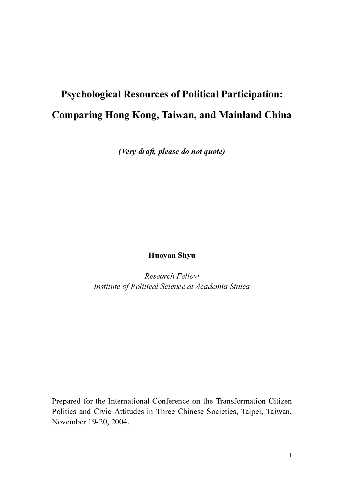# Psychological Resources of Political Participation: Comparing Hong Kong, Taiwan, and Mainland China

(Very draft, please do not quote)

Huoyan Shyu

**Research Fellow** 

France Lines<br>tical Science at Additional Conference on<br>in Three Chines Institute of Political Science and the Transformative of Political Science at Academia Sin-20, 2004. r<br>c Politics and Civic Attitudes in Three Chinese Societies, Taipei, Taiwan, November 19-20, 2004. Politics and Civic Attitudes in The Chinese Society, Taipei, Taipei, Taipei, Taipei, November 19-20, 2004.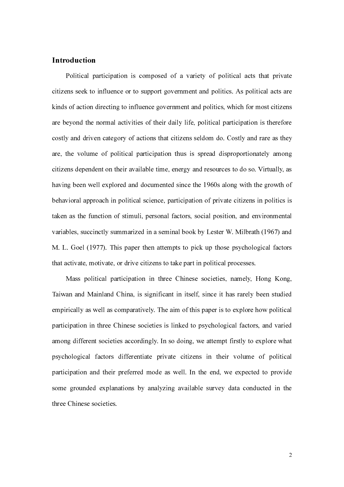# Introduction

Political participation is composed of a variety of political acts that private citizens seek to influence or to support government and politics. As political acts are kinds of action directing to influence government and politics, which for most citizens are beyond the normal activities of their daily life, political participation is therefore costly and driven category of actions that citizens seldom do. Costly and rare as they are, the volume of political participation thus is spread disproportionately among citizens dependent on their available time, energy and resources to do so. Virtually, as having been well explored and documented since the 1960s along with the growth of behavioral approach in political science, participation of private citizens in politics is taken as the function of stimuli, personal factors, social position, and environmental variables, succinctly summarized in a seminal book by Lester W. Milbrath (1967) and M. L. Goel (1977). This paper then attempts to pick up those psychological factors that activate, motivate, or drive citizens to take part in political processes.

 Mass political participation in three Chinese societies, namely, Hong Kong, Taiwan and Mainland China, is significant in itself, since it has rarely been studied empirically as well as comparatively. The aim of this paper is to explore how political participation in three Chinese societies is linked to psychological factors, and varied among different societies accordingly. In so doing, we attempt firstly to explore what psychological factors differentiate private citizens in their volume of political participation and their preferred mode as well. In the end, we expected to provide some grounded explanations by analyzing available survey data conducted in the three Chinese societies.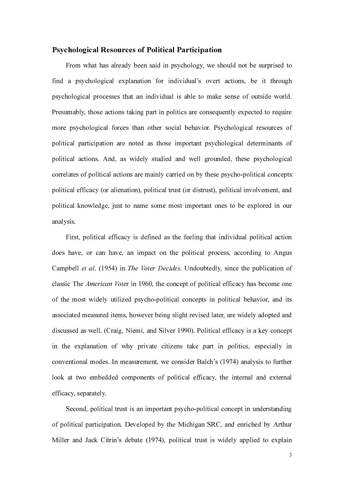# Psychological Resources of Political Participation

From what has already been said in psychology, we should not be surprised to find a psychological explanation for individual's overt actions, be it through psychological processes that an individual is able to make sense of outside world. Presumably, those actions taking part in politics are consequently expected to require more psychological forces than other social behavior. Psychological resources of political participation are noted as those important psychological determinants of political actions. And, as widely studied and well grounded, these psychological correlates of political actions are mainly carried on by these psycho-political concepts: political efficacy (or alienation), political trust (or distrust), political involvement, and political knowledge, just to name some most important ones to be explored in our analysis.

 First, political efficacy is defined as the feeling that individual political action does have, or can have, an impact on the political process, according to Angus Campbell *et al.* (1954) in *The Voter Decides*. Undoubtedly, since the publication of classic The *American Voter* in 1960, the concept of political efficacy has become one of the most widely utilized psycho-political con classic The *American Voter* in 1960, the concept of political efficacy has become one<br>of the most widely utilized psycho-political concepts in political behavior, and its<br>associated measured items, however being slight re of the most widely utilized psycho-political concepts in political behavior, and its associated measured items, however being slight revised later, are widely adopted and discussed as well. (Craig, Niemi, and Silver 1990). Political efficacy is a key concept in the explanation of why private citizens take part in politics, especially in conventional modes. In measurement, we consider Balch's (1974) analysis to further look at two embedded components of political efficacy, the internal and external efficacy, separately.

 Second, political trust is an important psycho-political concept in understanding of political participation. Developed by the Michigan SRC, and enriched by Arthur Miller and Jack Citrin's debate (1974), political trust is widely applied to explain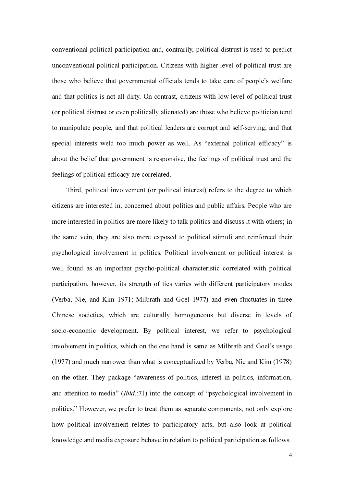conventional political participation and, contrarily, political distrust is used to predict unconventional political participation. Citizens with higher level of political trust are those who believe that governmental officials tends to take care of people's welfare and that politics is not all dirty. On contrast, citizens with low level of political trust (or political distrust or even politically alienated) are those who believe politician tend to manipulate people, and that political leaders are corrupt and self-serving, and that special interests weld too much power as well. As "external political efficacy" is about the belief that government is responsive, the feelings of political trust and the feelings of political efficacy are correlated.

 Third, political involvement (or political interest) refers to the degree to which citizens are interested in, concerned about politics and public affairs. People who are more interested in politics are more likely to talk politics and discuss it with others; in the same vein, they are also more exposed to political stimuli and reinforced their psychological involvement in politics. Political involvement or political interest is well found as an important psycho-political characteristic correlated with political participation, however, its strength of ties varies with different participatory modes (Verba, Nie, and Kim 1971; Milbrath and Goel 1977) and even fluctuates in three Chinese societies, which are culturally homogeneous but diverse in levels of socio-economic development. By political interest, we refer to psychological involvement in politics, which on the one hand is same as Milbrath and Goel's usage (1977) and much narrower than what is conceptualized by Verba, Nie and Kim (1978) on the other. They package "awareness of politics, interest in politics, information, and attention to media" (*Ibid.*:71) into the concept of "psychological involvement in politics." However, we prefer to treat them as separate components, not only explore how political involvement relates to participatory politics." However, we prefer to treat them as separate components, not only explore how political involvement relates to participatory acts, but also look at political knowledge and media exposure behave in relation to political participation as follows.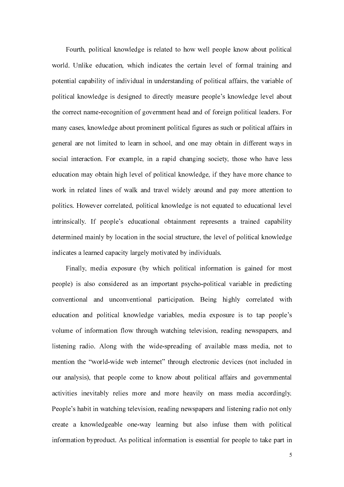Fourth, political knowledge is related to how well people know about political world. Unlike education, which indicates the certain level of formal training and potential capability of individual in understanding of political affairs, the variable of political knowledge is designed to directly measure people's knowledge level about the correct name-recognition of government head and of foreign political leaders. For many cases, knowledge about prominent political figures as such or political affairs in general are not limited to learn in school, and one may obtain in different ways in social interaction. For example, in a rapid changing society, those who have less education may obtain high level of political knowledge, if they have more chance to work in related lines of walk and travel widely around and pay more attention to politics. However correlated, political knowledge is not equated to educational level intrinsically. If people's educational obtainment represents a trained capability determined mainly by location in the social structure, the level of political knowledge indicates a learned capacity largely motivated by individuals.

Finally, media exposure (by which political information is gained for most people) is also considered as an important psycho-political variable in predicting conventional and unconventional participation. Being highly correlated with education and political knowledge variables, media exposure is to tap people's volume of information flow through watching television, reading newspapers, and listening radio. Along with the wide-spreading of available mass media, not to mention the "world-wide web internet" through electronic devices (not included in our analysis), that people come to know about political affairs and governmental activities inevitably relies more and more heavily on mass media accordingly. People's habit in watching television, reading newspapers and listening radio not only create a knowledgeable one-way learning but also infuse them with political information byproduct. As political information is essential for people to take part in

the contract of the contract of the contract of the contract of the contract of the contract of the contract o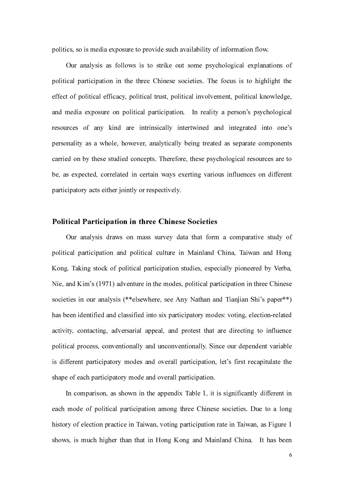politics, so is media exposure to provide such availability of information flow.

Our analysis as follows is to strike out some psychological explanations of political participation in the three Chinese societies. The focus is to highlight the effect of political efficacy, political trust, political involvement, political knowledge, and media exposure on political participation. In reality a person's psychological resources of any kind are intrinsically intertwined and integrated into one's personality as a whole, however, analytically being treated as separate components carried on by these studied concepts. Therefore, these psychological resources are to be, as expected, correlated in certain ways exerting various influences on different participatory acts either jointly or respectively.

# Political Participation in three Chinese Societies

Our analysis draws on mass survey data that form a comparative study of political participation and political culture in Mainland China, Taiwan and Hong Kong. Taking stock of political participation studies, especially pioneered by Verba, Nie, and Kim's (1971) adventure in the modes, political participation in three Chinese societies in our analysis (\*\*elsewhere, see Any Nathan and Tianjian Shi's paper\*\*) has been identified and classified into six participatory modes: voting, election-related activity, contacting, adversarial appeal, and protest that are directing to influence political process, conventionally and unconventionally. Since our dependent variable is different participatory modes and overall participation, let's first recapitulate the shape of each participatory mode and overall participation.

In comparison, as shown in the appendix Table 1, it is significantly different in each mode of political participation among three Chinese societies. Due to a long history of election practice in Taiwan, voting participation rate in Taiwan, as Figure 1 shows, is much higher than that in Hong Kong and Mainland China. It has been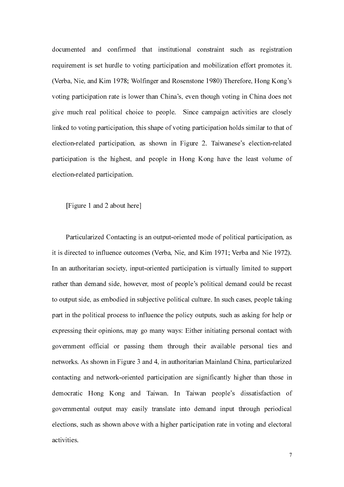documented and confirmed that institutional constraint such as registration requirement is set hurdle to voting participation and mobilization effort promotes it. (Verba, Nie, and Kim 1978; Wolfinger and Rosenstone 1980) Therefore, Hong Kong's voting participation rate is lower than China's, even though voting in China does not give much real political choice to people. Since campaign activities are closely linked to voting participation, this shape of voting participation holds similar to that of election-related participation, as shown in Figure 2. Taiwanese's election-related participation is the highest, and people in Hong Kong have the least volume of election-related participation.

# [Figure 1 and 2 about here]

Particularized Contacting is an output-oriented mode of political participation, as it is directed to influence outcomes (Verba, Nie, and Kim 1971; Verba and Nie 1972). In an authoritarian society, input-oriented participation is virtually limited to support rather than demand side, however, most of people's political demand could be recast to output side, as embodied in subjective political culture. In such cases, people taking part in the political process to influence the policy outputs, such as asking for help or expressing their opinions, may go many ways: Either initiating personal contact with government official or passing them through their available personal ties and networks. As shown in Figure 3 and 4, in authoritarian Mainland China, particularized contacting and network-oriented participation are significantly higher than those in democratic Hong Kong and Taiwan. In Taiwan people's dissatisfaction of governmental output may easily translate into demand input through periodical elections, such as shown above with a higher participation rate in voting and electoral activities.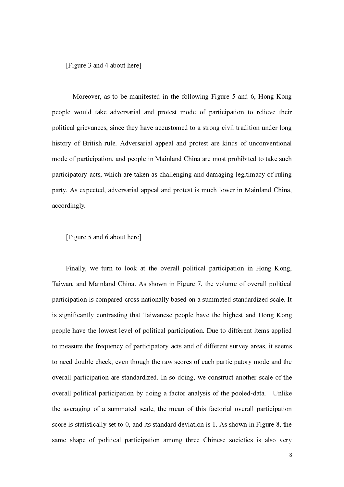[Figure 3 and 4 about here]

 Moreover, as to be manifested in the following Figure 5 and 6, Hong Kong people would take adversarial and protest mode of participation to relieve their political grievances, since they have accustomed to a strong civil tradition under long history of British rule. Adversarial appeal and protest are kinds of unconventional mode of participation, and people in Mainland China are most prohibited to take such participatory acts, which are taken as challenging and damaging legitimacy of ruling party. As expected, adversarial appeal and protest is much lower in Mainland China, accordingly.

[Figure 5 and 6 about here]

Finally, we turn to look at the overall political participation in Hong Kong, Taiwan, and Mainland China. As shown in Figure 7, the volume of overall political participation is compared cross-nationally based on a summated-standardized scale. It is significantly contrasting that Taiwanese people have the highest and Hong Kong people have the lowest level of political participation. Due to different items applied to measure the frequency of participatory acts and of different survey areas, it seems to need double check, even though the raw scores of each participatory mode and the overall participation are standardized. In so doing, we construct another scale of the overall political participation by doing a factor analysis of the pooled-data. Unlike the averaging of a summated scale, the mean of this factorial overall participation score is statistically set to 0, and its standard deviation is 1. As shown in Figure 8, the same shape of political participation among three Chinese societies is also very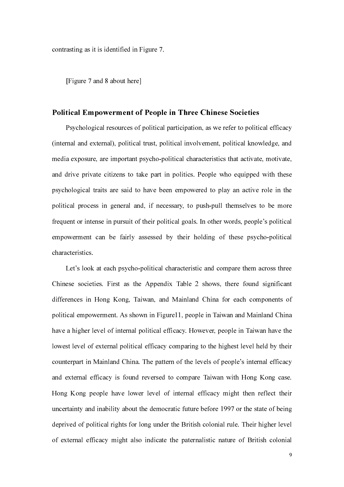contrasting as it is identified in Figure 7.

[Figure 7 and 8 about here]

# Political Empowerment of People in Three Chinese Societies

Psychological resources of political participation, as we refer to political efficacy (internal and external), political trust, political involvement, political knowledge, and media exposure, are important psycho-political characteristics that activate, motivate, and drive private citizens to take part in politics. People who equipped with these psychological traits are said to have been empowered to play an active role in the political process in general and, if necessary, to push-pull themselves to be more frequent or intense in pursuit of their political goals. In other words, people's political empowerment can be fairly assessed by their holding of these psycho-political characteristics.

Let's look at each psycho-political characteristic and compare them across three Chinese societies. First as the Appendix Table 2 shows, there found significant differences in Hong Kong, Taiwan, and Mainland China for each components of political empowerment. As shown in Figure11, people in Taiwan and Mainland China have a higher level of internal political efficacy. However, people in Taiwan have the lowest level of external political efficacy comparing to the highest level held by their counterpart in Mainland China. The pattern of the levels of people's internal efficacy and external efficacy is found reversed to compare Taiwan with Hong Kong case. Hong Kong people have lower level of internal efficacy might then reflect their uncertainty and inability about the democratic future before 1997 or the state of being deprived of political rights for long under the British colonial rule. Their higher level of external efficacy might also indicate the paternalistic nature of British colonial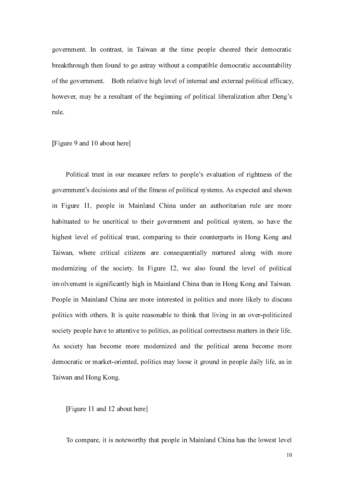government. In contrast, in Taiwan at the time people cheered their democratic breakthrough then found to go astray without a compatible democratic accountability of the government. Both relative high level of internal and external political efficacy, however, may be a resultant of the beginning of political liberalization after Deng's rule.

#### [Figure 9 and 10 about here]

Political trust in our measure refers to people's evaluation of rightness of the government's decisions and of the fitness of political systems. As expected and shown in Figure 11, people in Mainland China under an authoritarian rule are more habituated to be uncritical to their government and political system, so have the highest level of political trust, comparing to their counterparts in Hong Kong and Taiwan, where critical citizens are consequentially nurtured along with more modernizing of the society. In Figure 12, we also found the level of political involvement is significantly high in Mainland China than in Hong Kong and Taiwan. People in Mainland China are more interested in politics and more likely to discuss politics with others. It is quite reasonable to think that living in an over-politicized society people have to attentive to politics, as political correctness matters in their life. As society has become more modernized and the political arena become more democratic or market-oriented, politics may loose it ground in people daily life, as in Taiwan and Hong Kong.

[Figure 11 and 12 about here]

To compare, it is noteworthy that people in Mainland China has the lowest level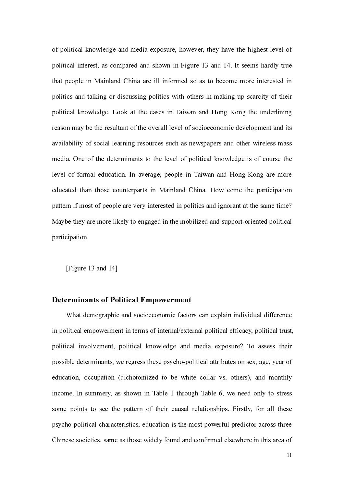of political knowledge and media exposure, however, they have the highest level of political interest, as compared and shown in Figure 13 and 14. It seems hardly true that people in Mainland China are ill informed so as to become more interested in politics and talking or discussing politics with others in making up scarcity of their political knowledge. Look at the cases in Taiwan and Hong Kong the underlining reason may be the resultant of the overall level of socioeconomic development and its availability of social learning resources such as newspapers and other wireless mass media. One of the determinants to the level of political knowledge is of course the level of formal education. In average, people in Taiwan and Hong Kong are more educated than those counterparts in Mainland China. How come the participation pattern if most of people are very interested in politics and ignorant at the same time? Maybe they are more likely to engaged in the mobilized and support-oriented political participation.

[Figure 13 and 14]

#### Determinants of Political Empowerment

 What demographic and socioeconomic factors can explain individual difference in political empowerment in terms of internal/external political efficacy, political trust, political involvement, political knowledge and media exposure? To assess their possible determinants, we regress these psycho-political attributes on sex, age, year of education, occupation (dichotomized to be white collar vs. others), and monthly income. In summery, as shown in Table 1 through Table 6, we need only to stress some points to see the pattern of their causal relationships. Firstly, for all these psycho-political characteristics, education is the most powerful predictor across three Chinese societies, same as those widely found and confirmed elsewhere in this area of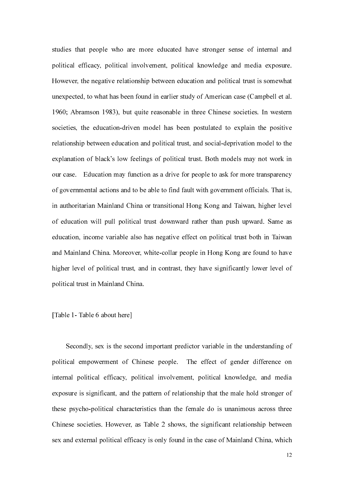studies that people who are more educated have stronger sense of internal and political efficacy, political involvement, political knowledge and media exposure. However, the negative relationship between education and political trust is somewhat unexpected, to what has been found in earlier study of American case (Campbell et al. 1960; Abramson 1983), but quite reasonable in three Chinese societies. In western societies, the education-driven model has been postulated to explain the positive relationship between education and political trust, and social-deprivation model to the explanation of black's low feelings of political trust. Both models may not work in our case. Education may function as a drive for people to ask for more transparency of governmental actions and to be able to find fault with government officials. That is, in authoritarian Mainland China or transitional Hong Kong and Taiwan, higher level of education will pull political trust downward rather than push upward. Same as education, income variable also has negative effect on political trust both in Taiwan and Mainland China. Moreover, white-collar people in Hong Kong are found to have higher level of political trust, and in contrast, they have significantly lower level of political trust in Mainland China.

# [Table 1- Table 6 about here]

Secondly, sex is the second important predictor variable in the understanding of political empowerment of Chinese people. The effect of gender difference on internal political efficacy, political involvement, political knowledge, and media exposure is significant, and the pattern of relationship that the male hold stronger of these psycho-political characteristics than the female do is unanimous across three Chinese societies. However, as Table 2 shows, the significant relationship between sex and external political efficacy is only found in the case of Mainland China, which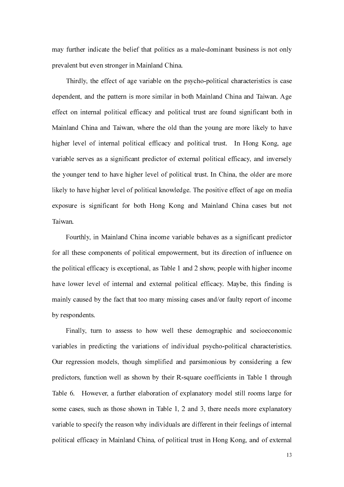may further indicate the belief that politics as a male-dominant business is not only prevalent but even stronger in Mainland China.

 Thirdly, the effect of age variable on the psycho-political characteristics is case dependent, and the pattern is more similar in both Mainland China and Taiwan. Age effect on internal political efficacy and political trust are found significant both in Mainland China and Taiwan, where the old than the young are more likely to have higher level of internal political efficacy and political trust. In Hong Kong, age variable serves as a significant predictor of external political efficacy, and inversely the younger tend to have higher level of political trust. In China, the older are more likely to have higher level of political knowledge. The positive effect of age on media exposure is significant for both Hong Kong and Mainland China cases but not Taiwan.

Fourthly, in Mainland China income variable behaves as a significant predictor for all these components of political empowerment, but its direction of influence on the political efficacy is exceptional, as Table 1 and 2 show, people with higher income have lower level of internal and external political efficacy. Maybe, this finding is mainly caused by the fact that too many missing cases and/or faulty report of income by respondents.

 Finally, turn to assess to how well these demographic and socioeconomic variables in predicting the variations of individual psycho-political characteristics. Our regression models, though simplified and parsimonious by considering a few predictors, function well as shown by their R-square coefficients in Table 1 through Table 6. However, a further elaboration of explanatory model still rooms large for some cases, such as those shown in Table 1, 2 and 3, there needs more explanatory variable to specify the reason why individuals are different in their feelings of internal political efficacy in Mainland China, of political trust in Hong Kong, and of external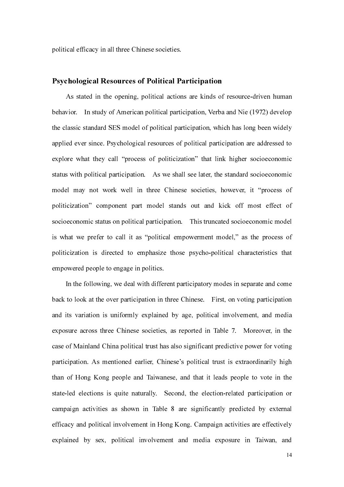political efficacy in all three Chinese societies.

# Psychological Resources of Political Participation

As stated in the opening, political actions are kinds of resource-driven human behavior. In study of American political participation, Verba and Nie (1972) develop the classic standard SES model of political participation, which has long been widely applied ever since. Psychological resources of political participation are addressed to explore what they call "process of politicization" that link higher socioeconomic status with political participation. As we shall see later, the standard socioeconomic model may not work well in three Chinese societies, however, it "process of politicization" component part model stands out and kick off most effect of socioeconomic status on political participation. This truncated socioeconomic model is what we prefer to call it as "political empowerment model," as the process of politicization is directed to emphasize those psycho-political characteristics that empowered people to engage in politics.

In the following, we deal with different participatory modes in separate and come back to look at the over participation in three Chinese. First, on voting participation and its variation is uniformly explained by age, political involvement, and media exposure across three Chinese societies, as reported in Table 7. Moreover, in the case of Mainland China political trust has also significant predictive power for voting participation. As mentioned earlier, Chinese's political trust is extraordinarily high than of Hong Kong people and Taiwanese, and that it leads people to vote in the state-led elections is quite naturally. Second, the election-related participation or campaign activities as shown in Table 8 are significantly predicted by external efficacy and political involvement in Hong Kong. Campaign activities are effectively explained by sex, political involvement and media exposure in Taiwan, and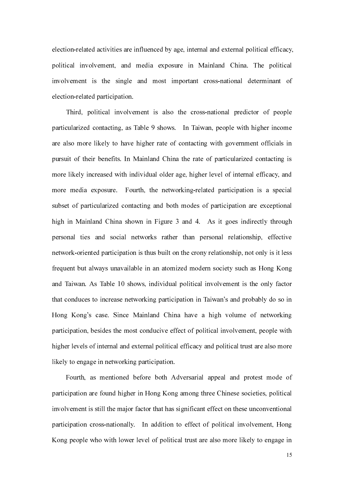election-related activities are influenced by age, internal and external political efficacy, political involvement, and media exposure in Mainland China. The political involvement is the single and most important cross-national determinant of election-related participation.

Third, political involvement is also the cross-national predictor of people particularized contacting, as Table 9 shows. In Taiwan, people with higher income are also more likely to have higher rate of contacting with government officials in pursuit of their benefits. In Mainland China the rate of particularized contacting is more likely increased with individual older age, higher level of internal efficacy, and more media exposure. Fourth, the networking-related participation is a special subset of particularized contacting and both modes of participation are exceptional high in Mainland China shown in Figure 3 and 4. As it goes indirectly through personal ties and social networks rather than personal relationship, effective network-oriented participation is thus built on the crony relationship, not only is it less frequent but always unavailable in an atomized modern society such as Hong Kong and Taiwan. As Table 10 shows, individual political involvement is the only factor that conduces to increase networking participation in Taiwan's and probably do so in Hong Kong's case. Since Mainland China have a high volume of networking participation, besides the most conducive effect of political involvement, people with higher levels of internal and external political efficacy and political trust are also more likely to engage in networking participation.

Fourth, as mentioned before both Adversarial appeal and protest mode of participation are found higher in Hong Kong among three Chinese societies, political involvement is still the major factor that has significant effect on these unconventional participation cross-nationally. In addition to effect of political involvement, Hong Kong people who with lower level of political trust are also more likely to engage in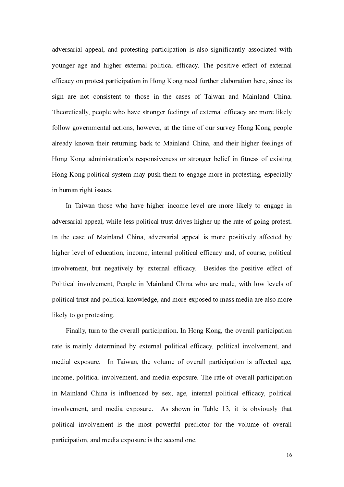adversarial appeal, and protesting participation is also significantly associated with younger age and higher external political efficacy. The positive effect of external efficacy on protest participation in Hong Kong need further elaboration here, since its sign are not consistent to those in the cases of Taiwan and Mainland China. Theoretically, people who have stronger feelings of external efficacy are more likely follow governmental actions, however, at the time of our survey Hong Kong people already known their returning back to Mainland China, and their higher feelings of Hong Kong administration's responsiveness or stronger belief in fitness of existing Hong Kong political system may push them to engage more in protesting, especially in human right issues.

In Taiwan those who have higher income level are more likely to engage in adversarial appeal, while less political trust drives higher up the rate of going protest. In the case of Mainland China, adversarial appeal is more positively affected by higher level of education, income, internal political efficacy and, of course, political involvement, but negatively by external efficacy. Besides the positive effect of Political involvement, People in Mainland China who are male, with low levels of political trust and political knowledge, and more exposed to mass media are also more likely to go protesting.

Finally, turn to the overall participation. In Hong Kong, the overall participation rate is mainly determined by external political efficacy, political involvement, and medial exposure. In Taiwan, the volume of overall participation is affected age, income, political involvement, and media exposure. The rate of overall participation in Mainland China is influenced by sex, age, internal political efficacy, political involvement, and media exposure. As shown in Table 13, it is obviously that political involvement is the most powerful predictor for the volume of overall participation, and media exposure is the second one.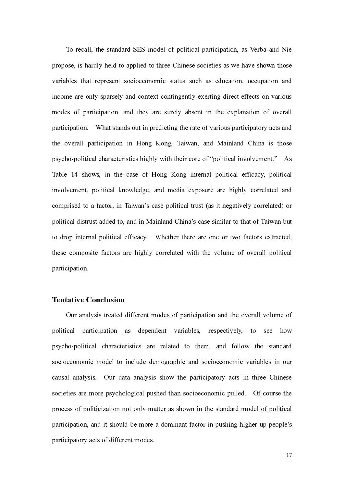To recall, the standard SES model of political participation, as Verba and Nie propose, is hardly held to applied to three Chinese societies as we have shown those variables that represent socioeconomic status such as education, occupation and income are only sparsely and context contingently exerting direct effects on various modes of participation, and they are surely absent in the explanation of overall participation. What stands out in predicting the rate of various participatory acts and the overall participation in Hong Kong, Taiwan, and Mainland China is those psycho-political characteristics highly with their core of "political involvement." As Table 14 shows, in the case of Hong Kong internal political efficacy, political involvement, political knowledge, and media exposure are highly correlated and comprised to a factor, in Taiwan's case political trust (as it negatively correlated) or political distrust added to, and in Mainland China's case similar to that of Taiwan but to drop internal political efficacy. Whether there are one or two factors extracted, these composite factors are highly correlated with the volume of overall political participation.

# Tentative Conclusion

Our analysis treated different modes of participation and the overall volume of political participation as dependent variables, respectively, to see how psycho-political characteristics are related to them, and follow the standard socioeconomic model to include demographic and socioeconomic variables in our causal analysis. Our data analysis show the participatory acts in three Chinese societies are more psychological pushed than socioeconomic pulled. Of course the process of politicization not only matter as shown in the standard model of political participation, and it should be more a dominant factor in pushing higher up people's participatory acts of different modes.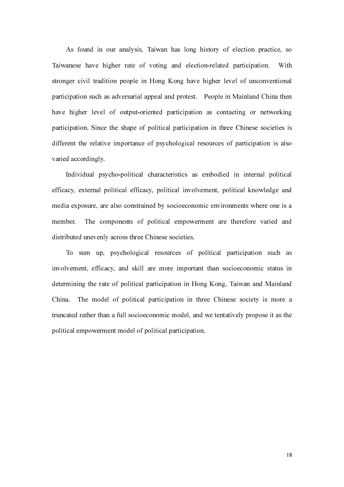As found in our analysis, Taiwan has long history of election practice, so Taiwanese have higher rate of voting and election-related participation. With stronger civil tradition people in Hong Kong have higher level of unconventional participation such as adversarial appeal and protest. People in Mainland China then have higher level of output-oriented participation as contacting or networking participation. Since the shape of political participation in three Chinese societies is different the relative importance of psychological resources of participation is also varied accordingly.

Individual psycho-political characteristics as embodied in internal political efficacy, external political efficacy, political involvement, political knowledge and media exposure, are also constrained by socioeconomic environments where one is a member. The components of political empowerment are therefore varied and distributed unevenly across three Chinese societies.

To sum up, psychological resources of political participation such as involvement, efficacy, and skill are more important than socioeconomic status in determining the rate of political participation in Hong Kong, Taiwan and Mainland China. The model of political participation in three Chinese society is more a truncated rather than a full socioeconomic model, and we tentatively propose it as the political empowerment model of political participation.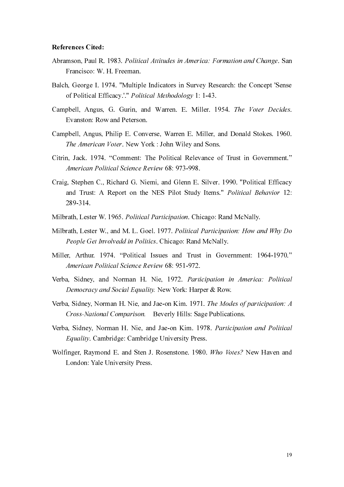#### References Cited:

- Abramson, Paul R. 1983. Political Attitudes in America: Formation and Change. San Francisco: W. H. Freeman.
- Balch, George I. 1974. "Multiple Indicators in Survey Research: the Concept 'Sense of Political Efficacy.'." Political Methodology 1: 1-43.
- Campbell, Angus, G. Gurin, and Warren. E. Miller. 1954. The Voter Decides. Evanston: Row and Peterson.
- Campbell, Angus, Philip E. Converse, Warren E. Miller, and Donald Stokes. 1960. The American Voter. New York : John Wiley and Sons.
- Citrin, Jack. 1974. "Comment: The Political Relevance of Trust in Government." American Political Science Review 68: 973-998.
- Craig, Stephen C., Richard G. Niemi, and Glenn E. Silver. 1990. "Political Efficacy and Trust: A Report on the NES Pilot Study Items." Political Behavior 12: 289-314.
- Milbrath, Lester W. 1965. Political Participation. Chicago: Rand McNally.
- Milbrath, Lester W., and M. L. Goel. 1977. Political Participation: How and Why Do People Get Involvedd in Politics. Chicago: Rand McNally.
- Miller, Arthur. 1974. "Political Issues and Trust in Government: 1964-1970." American Political Science Review 68: 951-972.
- Verba, Sidney, and Norman H. Nie, 1972. Participation in America: Political Democracy and Social Equality. New York: Harper & Row.
- Verba, Sidney, Norman H. Nie, and Jae-on Kim. 1971. The Modes of participation: A Cross-National Comparison. Beverly Hills: Sage Publications.
- Verba, Sidney, Norman H. Nie, and Jae-on Kim. 1978. Participation and Political Equality. Cambridge: Cambridge University Press.
- Wolfinger, Raymond E. and Sten J. Rosenstone. 1980. Who Votes? New Haven and London: Yale University Press.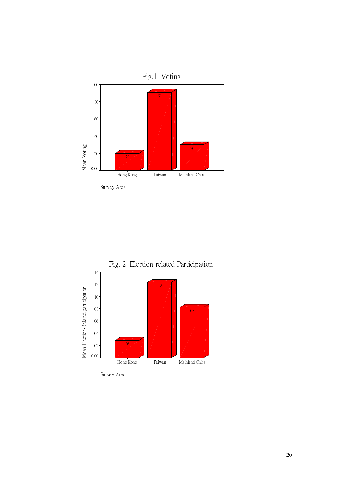



Survey Area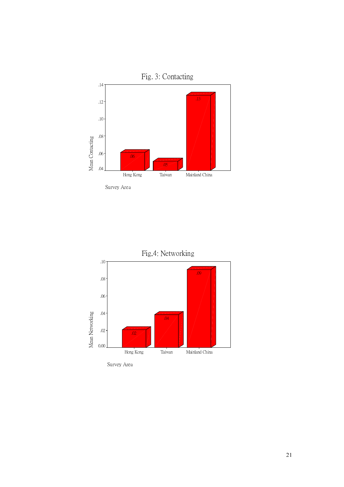

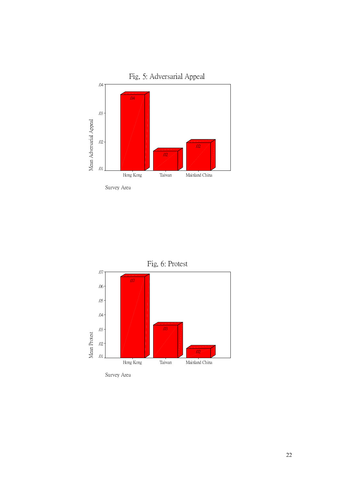



Survey Area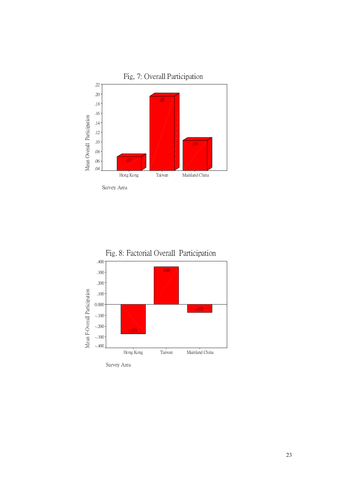



Survey Area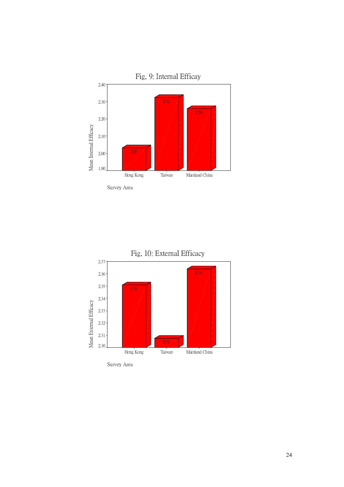



Survey Area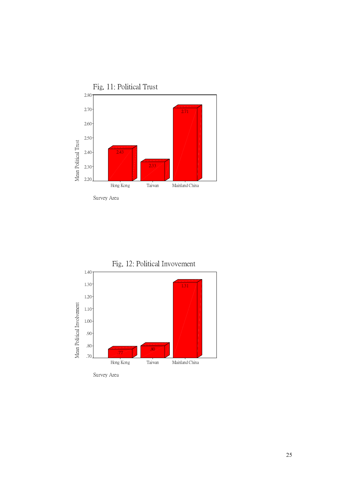



Survey Area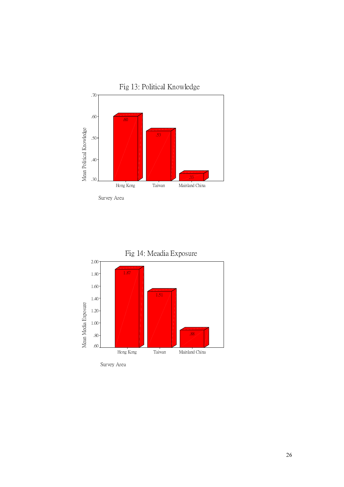

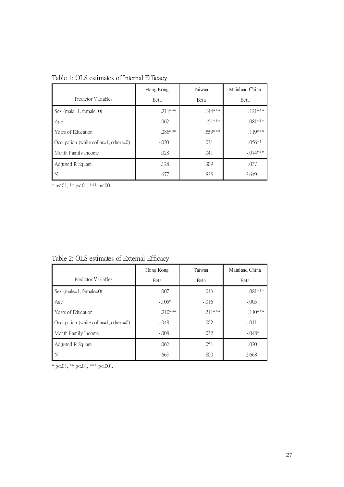|                                       | Hong Kong   | Taiwan      | Mainland China |  |
|---------------------------------------|-------------|-------------|----------------|--|
| Predictor Variables                   | <b>Beta</b> | <b>Beta</b> | <b>Beta</b>    |  |
| Sex (male=1, female=0)                | $.211***$   | $144***$    | $.121***$      |  |
| Age                                   | .062        | $.151***$   | $.081***$      |  |
| Years of Education                    | $.286***$   | $.559***$   | $.119***$      |  |
| Occupation (white collar=1, others=0) | $-.020$     | .031        | $.056**$       |  |
| Month Family Income                   | .028        | .041        | $-074***$      |  |
| Adjusted R Square                     | .128        | .309        | .037           |  |
| N                                     | 677         | 835         | 2,649          |  |

Table 1: OLS estimates of Internal Efficacy

 $*$  p<.01,  $*$  p<.01,  $*$  p<.001.

Table 2: OLS estimates of External Efficacy

|                                       | Hong Kong | Taiwan    | Mainland China |
|---------------------------------------|-----------|-----------|----------------|
| Predictor Variables                   | Beta      | Beta      | Beta           |
| Sex (male=1, female=0)                | .007      | .013      | $.081***$      |
| Age                                   | $-106*$   | $-0.016$  | $-005$         |
| Years of Education                    | $.210***$ | $.211***$ | $.110***$      |
| Occupation (white collar=1, others=0) | $-048$    | .002      | $-011$         |
| Month Family Income                   | $-.008$   | .032      | $-048*$        |
| Adjusted R Square                     | .062      | .051      | .020           |
| N                                     | 663       | 800       | 2,668          |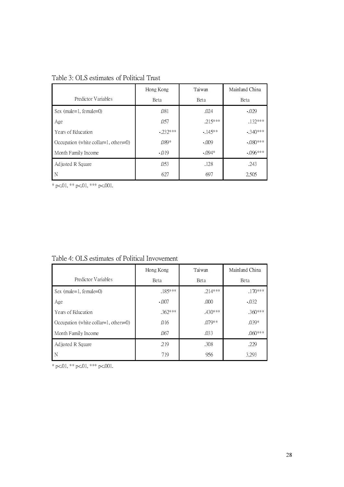|                                       | Hong Kong | Taiwan      | Mainland China |
|---------------------------------------|-----------|-------------|----------------|
| Predictor Variables                   | Beta      | <b>Beta</b> | <b>Beta</b>    |
| Sex (male=1, female=0)                | .081      | .024        | $-029$         |
| Age                                   | .057      | $215***$    | $.132***$      |
| Years of Education                    | $-232***$ | $-145**$    | $-340***$      |
| Occupation (white collar=1, others=0) | $.089*$   | $-.009$     | $-.080***$     |
| Month Family Income                   | $-019$    | $-.094*$    | $-0.096***$    |
| Adjusted R Square                     | .053      | .128        | .243           |
| N                                     | 627       | 697         | 2,505          |

Table 3: OLS estimates of Political Trust

\* p<.01, \*\* p<.01, \*\*\* p<.001.

Table 4: OLS estimates of Political Invovement

|                                       | Hong Kong   | Taiwan      | Mainland China |  |
|---------------------------------------|-------------|-------------|----------------|--|
| Predictor Variables                   | <b>Beta</b> | <b>Beta</b> | <b>B</b> eta   |  |
| Sex $(male=1, female=0)$              | $.185***$   | $.214***$   | $.170***$      |  |
| Age                                   | $-.007$     | .000        | $-032$         |  |
| Years of Education                    | $.362***$   | $.430***$   | $.360***$      |  |
| Occupation (white collar=1, others=0) | .016        | $.079**$    | $.039*$        |  |
| Month Family Income                   | .067        | .033        | $.060***$      |  |
| Adjusted R Square                     | .219        | .308        | .229           |  |
| N                                     | 719         | 956         | 3,293          |  |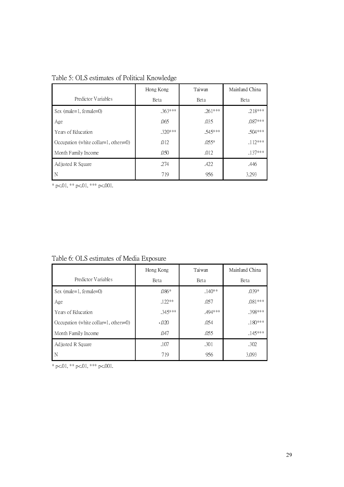|                                       | Taiwan<br>Hong Kong |           | Mainland China |
|---------------------------------------|---------------------|-----------|----------------|
| Predictor Variables                   | Beta                | Beta      | Beta           |
| Sex (male=1, female=0)                | $.363***$           | $.261***$ | $.218***$      |
| Age                                   | .065                | .035      | $.087***$      |
| Years of Education                    | $.320***$           | .545***   | $.504***$      |
| Occupation (white collar=1, others=0) | .012                | $.055*$   | $.112***$      |
| Month Family Income                   | .050                | .012      | $.137***$      |
| Adjusted R Square                     | .274                | .422      | .446           |
| N                                     | 719                 | 956       | 3,293          |

Table 5: OLS estimates of Political Knowledge

\* p<.01, \*\* p<.01, \*\*\* p<.001.

Table 6: OLS estimates of Media Exposure

|                                       | Hong Kong | Taiwan  | Mainland China |
|---------------------------------------|-----------|---------|----------------|
| Predictor Variables                   | Beta      | Beta    | Beta           |
| Sex (male=1, female=0)                | $.086*$   | $140**$ | $.039*$        |
| Age                                   | $.122**$  | .057    | $.081***$      |
| Years of Education                    | .345***   | .494*** | .398***        |
| Occupation (white collar=1, others=0) | $-020$    | .054    | $.180***$      |
| Month Family Income                   | .047      | .055    | $.145***$      |
| Adjusted R Square                     | .107      | .301    | .302           |
| N                                     | 719       | 956     | 3,093          |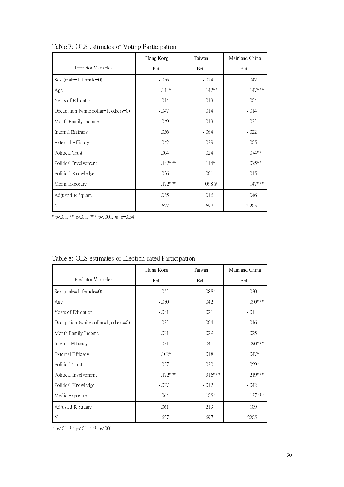|                                       | Hong Kong | Taiwan   | Mainland China |
|---------------------------------------|-----------|----------|----------------|
| Predictor Variables                   | Beta      | Beta     | Beta           |
| Sex (male=1, female=0)                | $-0.56$   | $-024$   | .042           |
| Age                                   | $.113*$   | $.142**$ | $.147***$      |
| Years of Education                    | $-014$    | .013     | .004           |
| Occupation (white collar=1, others=0) | $-047$    | .014     | $-014$         |
| Month Family Income                   | $-049$    | .013     | .023           |
| Internal Efficacy                     | .056      | $-064$   | $-022$         |
| External Efficacy                     | .042      | .039     | .005           |
| Political Trust                       | .004      | .024     | $.074**$       |
| Political Involvement                 | .182***   | $.114*$  | $.075**$       |
| Political Knowledge                   | .036      | $-061$   | $-015$         |
| Media Exposure                        | .172***   | .098 @   | $.147***$      |
| Adjusted R Square                     | .085      | .016     | .046           |
| N                                     | 627       | 697      | 2,205          |

Table 7: OLS estimates of Voting Participation

\* p<.01, \*\* p<.01, \*\*\* p<.001. @ p=.054

|                                       | Hong Kong | Taiwan  | Mainland China |  |
|---------------------------------------|-----------|---------|----------------|--|
| Predictor Variables                   | Beta      | Beta    | Beta           |  |
| Sex (male=1, female=0)                | $-0.53$   | $.088*$ | .030           |  |
| Age                                   | $-030$    | .042    | .090***        |  |
| Years of Education                    | $-081$    | .021    | $-013$         |  |
| Occupation (white collar=1, others=0) | .083      | .064    | .016           |  |
| Month Family Income                   | .021      | .029    | .025           |  |
| Internal Efficacy                     | .081      | .041    | .090***        |  |
| External Efficacy                     | $.102*$   | .018    | $.047*$        |  |
| Political Trust                       | $-037$    | $-030$  | $.059*$        |  |
| Political Involvement                 | .172***   | .316*** | .219***        |  |
| Political Knowledge                   | $-027$    | $-012$  | $-042$         |  |
| Media Exposure                        | .064      | $.105*$ | $.137***$      |  |
| Adjusted R Square                     | .061      | .219    | .109           |  |
| N                                     | 627       | 697     | 2205           |  |

|  |  | Table 8: OLS estimates of Election-rated Participation |  |  |
|--|--|--------------------------------------------------------|--|--|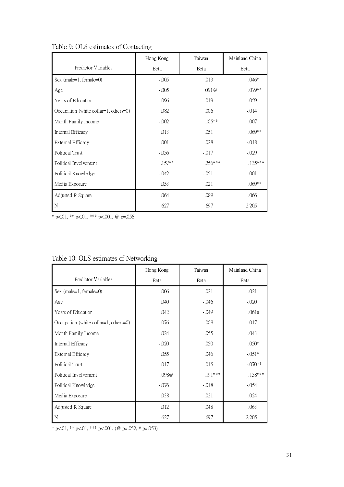|                                       | Hong Kong | Taiwan    | Mainland China |
|---------------------------------------|-----------|-----------|----------------|
| Predictor Variables                   | Beta      | Beta      | Beta           |
| Sex (male=1, female=0)                | $-005$    | .013      | $.046*$        |
| Age                                   | $-005$    | .091@     | .079**         |
| Years of Education                    | .096      | .019      | .059           |
| Occupation (white collar=1, others=0) | .082      | .006      | $-014$         |
| Month Family Income                   | $-002$    | $.105**$  | .007           |
| Internal Efficacy                     | .013      | .051      | $.069**$       |
| External Efficacy                     | .001      | .028      | $-018$         |
| Political Trust                       | $-0.56$   | $-017$    | $-0.029$       |
| Political Involvement                 | $.157**$  | $.256***$ | $.135***$      |
| Political Knowledge                   | $-042$    | $-051$    | .001           |
| Media Exposure                        | .053      | .021      | $.069**$       |
| Adjusted R Square                     | .064      | .089      | .066           |
| N                                     | 627       | 697       | 2,205          |

Table 9: OLS estimates of Contacting

\* p<.01, \*\* p<.01, \*\*\* p<.001. @ p=.056

|                                       | Hong Kong | Taiwan  | Mainland China |  |
|---------------------------------------|-----------|---------|----------------|--|
| Predictor Variables                   | Beta      | Beta    | Beta           |  |
| Sex (male=1, female=0)                | .006      | .021    | .021           |  |
| Age                                   | .040      | $-046$  | $-020$         |  |
| Years of Education                    | .042      | $-049$  | .061#          |  |
| Occupation (white collar=1, others=0) | .076      | .008    | .017           |  |
| Month Family Income                   | .024      | .055    | .043           |  |
| Internal Efficacy                     | $-020$    | .050    | $.050*$        |  |
| External Efficacy                     | .055      | .046    | $-051*$        |  |
| Political Trust                       | .017      | .015    | $-070**$       |  |
| Political Involvement                 | .098@     | .191*** | .158***        |  |
| Political Knowledge                   | $-0.076$  | $-018$  | $-0.54$        |  |
| Media Exposure                        | .038      | .021    | .024           |  |
| Adjusted R Square                     | .012      | .048    | .063           |  |
| N                                     | 627       | 697     | 2,205          |  |

# Table 10: OLS estimates of Networking

 $\overline{\ast p}$ <.01,  $\ast \overline{\ast p}$ <.01,  $\ast \overline{\ast p}$ <.001. (@ p=.052, # p=.053)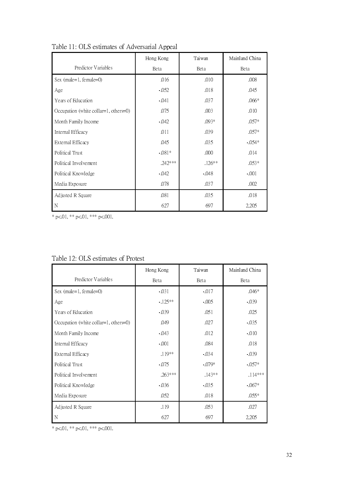|                                       | Hong Kong |          | Mainland China |  |
|---------------------------------------|-----------|----------|----------------|--|
| Predictor Variables                   | Beta      | Beta     | Beta           |  |
| Sex (male=1, female=0)                | .016      | .010     | .008           |  |
| Age                                   | $-052$    | .018     | .045           |  |
| Years of Education                    | $-041$    | .037     | $.066*$        |  |
| Occupation (white collar=1, others=0) | .075      | .003     | .010           |  |
| Month Family Income                   | $-0.042$  | $.093*$  | $.057*$        |  |
| Internal Efficacy                     | .011      | .039     | $.057*$        |  |
| External Efficacy                     | .045      | .035     | $-054*$        |  |
| Political Trust                       | $-081*$   | .000     | .014           |  |
| Political Involvement                 | $.242***$ | $.126**$ | $.053*$        |  |
| Political Knowledge                   | $-0.042$  | $-048$   | $-001$         |  |
| Media Exposure                        | .078      | .037     | .002           |  |
| Adjusted R Square                     | .081      | .035     | .018           |  |
| N                                     | 627       | 697      | 2,205          |  |

Table 11: OLS estimates of Adversarial Appeal

\* p<.01, \*\* p<.01, \*\*\* p<.001.

|                                       | Hong Kong | Taiwan   | Mainland China |  |
|---------------------------------------|-----------|----------|----------------|--|
| Predictor Variables                   | Beta      | Beta     | Beta           |  |
| Sex (male=1, female=0)                | $-031$    | $-.017$  | $.046*$        |  |
| Age                                   | $-125**$  | $-005$   | $-039$         |  |
| Years of Education                    | $-039$    | .051     | .025           |  |
| Occupation (white collar=1, others=0) | .049      | .027     | $-035$         |  |
| Month Family Income                   | $-043$    | .012     | $-010$         |  |
| Internal Efficacy                     | $-0.01$   | .084     | .018           |  |
| External Efficacy                     | .119**    | $-0.34$  | $-039$         |  |
| Political Trust                       | $-075$    | $-079*$  | $-057*$        |  |
| Political Involvement                 | $.263***$ | $.143**$ | $.114***$      |  |
| Political Knowledge                   | $-0.036$  | $-035$   | $-067*$        |  |
| Media Exposure                        | .052      | .018     | $.055*$        |  |
| Adjusted R Square                     | .119      | .053     | .027           |  |
| N                                     | 627       | 697      | 2,205          |  |

# Table 12: OLS estimates of Protest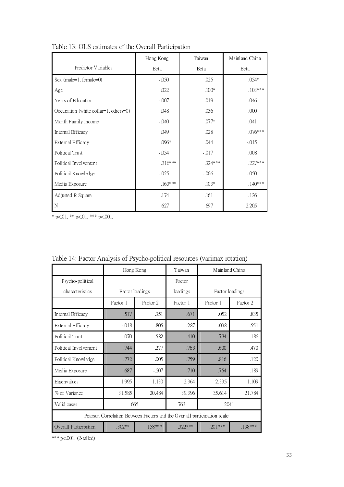|                                       | Taiwan<br>Hong Kong |           | Mainland China |  |
|---------------------------------------|---------------------|-----------|----------------|--|
| Predictor Variables                   | Beta                | Beta      | Beta           |  |
| Sex (male=1, female=0)                | $-050$              | .025      | $.054*$        |  |
| Age                                   | .022                | $.100*$   | $.103***$      |  |
| Years of Education                    | $-.007$             | .019      | .046           |  |
| Occupation (white collar=1, others=0) | .048                | .036      | .000           |  |
| Month Family Income                   | $-040$              | $.077*$   | .041           |  |
| Internal Efficacy                     | .049                | .028      | $.076***$      |  |
| External Efficacy                     | $.096*$             | .044      | $-0.015$       |  |
| Political Trust                       | $-054$              | $-0.017$  | .008           |  |
| Political Involvement                 | 316***              | $.324***$ | $.227***$      |  |
| Political Knowledge                   | $-0.025$            | $-066$    | $-050$         |  |
| Media Exposure                        | $.163***$           | $.103*$   | $.140***$      |  |
| Adjusted R Square                     | .174                | .161      | .126           |  |
| N                                     | 627                 | 697       | 2,205          |  |

Table 13: OLS estimates of the Overall Participation

\* p<.01, \*\* p<.01, \*\*\* p<.001.

|                                                                          | Hong Kong            |           | Taiwan   | Mainland China  |           |  |  |
|--------------------------------------------------------------------------|----------------------|-----------|----------|-----------------|-----------|--|--|
| Psycho-political                                                         |                      |           | Factor   |                 |           |  |  |
| characteristics                                                          | Factor loadings      |           | loadings | Factor loadings |           |  |  |
|                                                                          | Factor 2<br>Factor 1 |           | Factor 1 | Factor 1        | Factor 2  |  |  |
| Internal Efficacy                                                        | .517                 | .351      | .671     | .052            | .835      |  |  |
| External Efficacy                                                        | $-018$               | .805      | .287     | .038            | .551      |  |  |
| Political Trust                                                          | $-0.070$             | $-582$    | $-410$   | $-734$          | .186      |  |  |
| Political Involvement                                                    | .277<br>.744         |           | .763     | .600            | .470      |  |  |
| Political Knowledge                                                      | .772<br>.005         |           | .759     | .816            | .120      |  |  |
| Media Exposure                                                           | .687                 | $-207$    |          | .754            | .189      |  |  |
| Eigenvalues                                                              | 1.995                | 1.130     | 2.364    | 2.335           | 1.109     |  |  |
| % of Variance                                                            | 31.585               | 20.484    | 39.396   | 35.614          | 21.784    |  |  |
| Valid cases                                                              | 665                  |           | 763      | 2041            |           |  |  |
| Pearson Correlation Between Factors and the Over all participation scale |                      |           |          |                 |           |  |  |
| Overall Participation                                                    | $.302**$             | $.158***$ | .322***  | $.201***$       | $.198***$ |  |  |

Table 14: Factor Analysis of Psycho-political resources (varimax rotation)

\*\*\* p<.001. (2-tailed)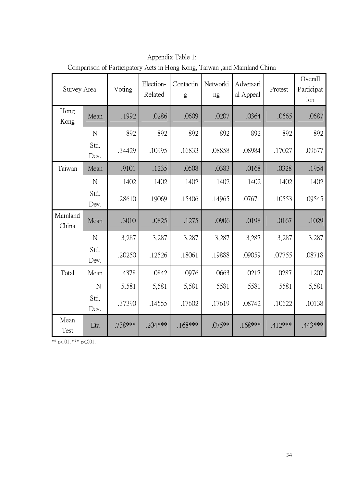| Survey Area       |              | Voting   | Election-<br>Related | Contactin<br>g | Networki<br>ng | Adversari<br>al Appeal | Protest   | Overall<br>Participat<br>ion |
|-------------------|--------------|----------|----------------------|----------------|----------------|------------------------|-----------|------------------------------|
| Hong<br>Kong      | Mean         | .1992    | .0286                | .0609          | .0207          | .0364                  | .0665     | .0687                        |
|                   | N            | 892      | 892                  | 892            | 892            | 892                    | 892       | 892                          |
|                   | Std.<br>Dev. | .34429   | .10995               | .16833         | .08858         | .08984                 | .17027    | .09677                       |
| Taiwan            | Mean         | .9101    | .1235                | .0508          | .0383          | .0168                  | .0328     | .1954                        |
|                   | N            | 1402     | 1402                 | 1402           | 1402           | 1402                   | 1402      | 1402                         |
|                   | Std.<br>Dev. | .28610   | .19069               | .15406         | .14965         | .07671                 | .10553    | .09545                       |
| Mainland<br>China | Mean         | .3010    | .0825                | .1275          | .0906          | .0198                  | .0167     | .1029                        |
|                   | $\mathbf N$  | 3,287    | 3,287                | 3,287          | 3,287          | 3,287                  | 3,287     | 3,287                        |
|                   | Std.<br>Dev. | .20250   | .12526               | .18061         | .19888         | .09059                 | .07755    | .08718                       |
| Total             | Mean         | .4378    | .0842                | .0976          | .0663          | .0217                  | .0287     | .1207                        |
|                   | $\mathbf N$  | 5,581    | 5,581                | 5,581          | 5581           | 5581                   | 5581      | 5,581                        |
|                   | Std.<br>Dev. | .37390   | .14555               | .17602         | .17619         | .08742                 | .10622    | .10138                       |
| Mean<br>Test      | Eta          | .738 *** | $.204***$            | $.168***$      | $.075**$       | $.168***$              | $.412***$ | .443 ***                     |

Appendix Table 1: Comparison of Participatory Acts in Hong Kong, Taiwan ,and Mainland China

\*\* p<.01, \*\*\* p<.001.